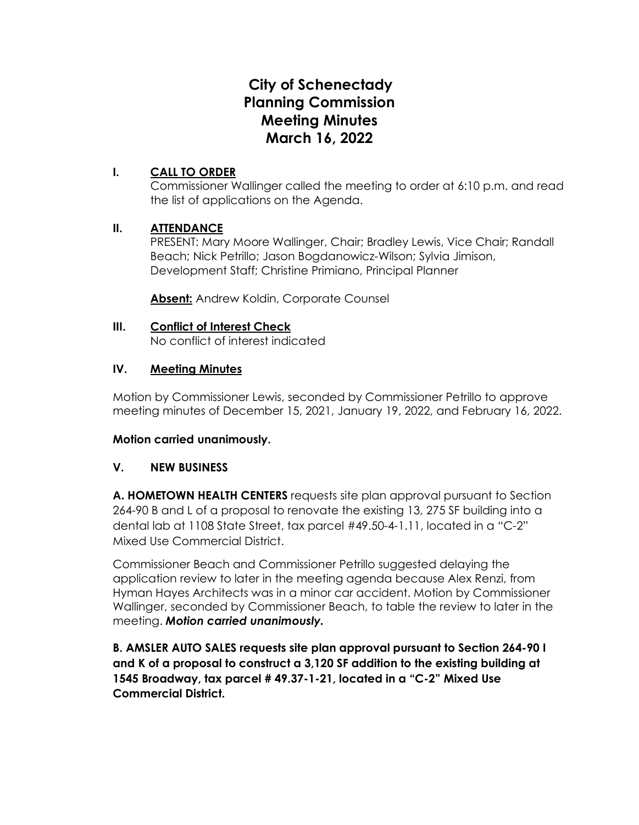# **City of Schenectady Planning Commission Meeting Minutes March 16, 2022**

## **I. CALL TO ORDER**

Commissioner Wallinger called the meeting to order at 6:10 p.m. and read the list of applications on the Agenda.

## **II. ATTENDANCE**

PRESENT: Mary Moore Wallinger, Chair; Bradley Lewis, Vice Chair; Randall Beach; Nick Petrillo; Jason Bogdanowicz-Wilson; Sylvia Jimison, Development Staff; Christine Primiano, Principal Planner

**Absent:** Andrew Koldin, Corporate Counsel

# **III. Conflict of Interest Check**

No conflict of interest indicated

# **IV. Meeting Minutes**

Motion by Commissioner Lewis, seconded by Commissioner Petrillo to approve meeting minutes of December 15, 2021, January 19, 2022, and February 16, 2022.

## **Motion carried unanimously.**

## **V. NEW BUSINESS**

**A. HOMETOWN HEALTH CENTERS** requests site plan approval pursuant to Section 264-90 B and L of a proposal to renovate the existing 13, 275 SF building into a dental lab at 1108 State Street, tax parcel #49.50-4-1.11, located in a "C-2" Mixed Use Commercial District.

Commissioner Beach and Commissioner Petrillo suggested delaying the application review to later in the meeting agenda because Alex Renzi, from Hyman Hayes Architects was in a minor car accident. Motion by Commissioner Wallinger, seconded by Commissioner Beach, to table the review to later in the meeting. *Motion carried unanimously.*

**B. AMSLER AUTO SALES requests site plan approval pursuant to Section 264-90 I and K of a proposal to construct a 3,120 SF addition to the existing building at 1545 Broadway, tax parcel # 49.37-1-21, located in a "C-2" Mixed Use Commercial District.**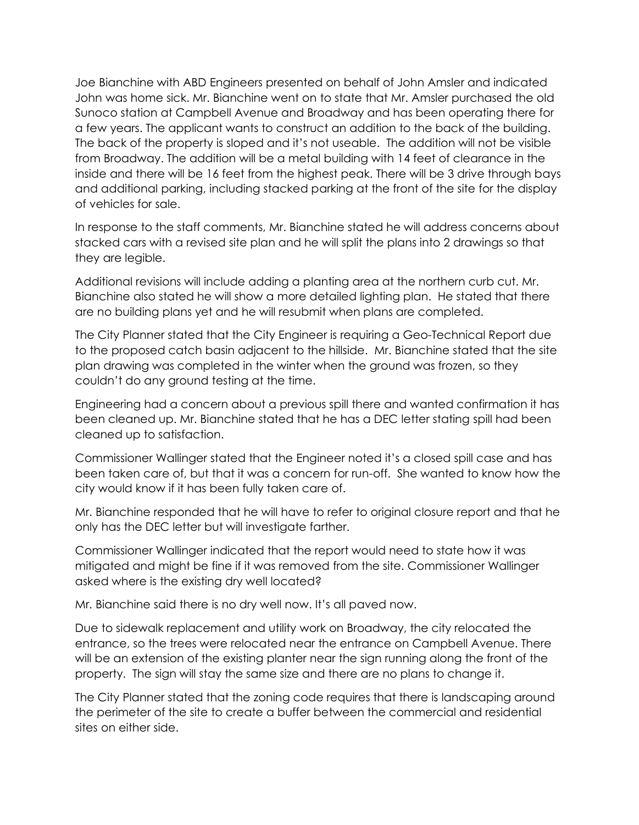Joe Bianchine with ABD Engineers presented on behalf of John Amsler and indicated John was home sick. Mr. Bianchine went on to state that Mr. Amsler purchased the old Sunoco station at Campbell Avenue and Broadway and has been operating there for a few years. The applicant wants to construct an addition to the back of the building. The back of the property is sloped and it's not useable. The addition will not be visible from Broadway. The addition will be a metal building with 14 feet of clearance in the inside and there will be 16 feet from the highest peak. There will be 3 drive through bays and additional parking, including stacked parking at the front of the site for the display of vehicles for sale.

In response to the staff comments, Mr. Bianchine stated he will address concerns about stacked cars with a revised site plan and he will split the plans into 2 drawings so that they are legible.

Additional revisions will include adding a planting area at the northern curb cut. Mr. Bianchine also stated he will show a more detailed lighting plan. He stated that there are no building plans yet and he will resubmit when plans are completed.

The City Planner stated that the City Engineer is requiring a Geo-Technical Report due to the proposed catch basin adjacent to the hillside. Mr. Bianchine stated that the site plan drawing was completed in the winter when the ground was frozen, so they couldn't do any ground testing at the time.

Engineering had a concern about a previous spill there and wanted confirmation it has been cleaned up. Mr. Bianchine stated that he has a DEC letter stating spill had been cleaned up to satisfaction.

Commissioner Wallinger stated that the Engineer noted it's a closed spill case and has been taken care of, but that it was a concern for run-off. She wanted to know how the city would know if it has been fully taken care of.

Mr. Bianchine responded that he will have to refer to original closure report and that he only has the DEC letter but will investigate farther.

Commissioner Wallinger indicated that the report would need to state how it was mitigated and might be fine if it was removed from the site. Commissioner Wallinger asked where is the existing dry well located?

Mr. Bianchine said there is no dry well now. It's all paved now.

Due to sidewalk replacement and utility work on Broadway, the city relocated the entrance, so the trees were relocated near the entrance on Campbell Avenue. There will be an extension of the existing planter near the sign running along the front of the property. The sign will stay the same size and there are no plans to change it.

The City Planner stated that the zoning code requires that there is landscaping around the perimeter of the site to create a buffer between the commercial and residential sites on either side.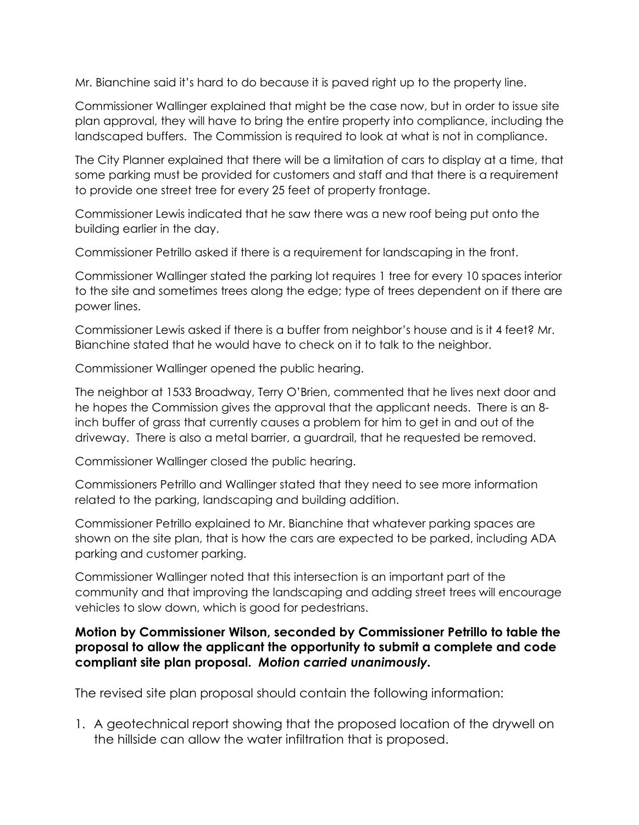Mr. Bianchine said it's hard to do because it is paved right up to the property line.

Commissioner Wallinger explained that might be the case now, but in order to issue site plan approval, they will have to bring the entire property into compliance, including the landscaped buffers. The Commission is required to look at what is not in compliance.

The City Planner explained that there will be a limitation of cars to display at a time, that some parking must be provided for customers and staff and that there is a requirement to provide one street tree for every 25 feet of property frontage.

Commissioner Lewis indicated that he saw there was a new roof being put onto the building earlier in the day.

Commissioner Petrillo asked if there is a requirement for landscaping in the front.

Commissioner Wallinger stated the parking lot requires 1 tree for every 10 spaces interior to the site and sometimes trees along the edge; type of trees dependent on if there are power lines.

Commissioner Lewis asked if there is a buffer from neighbor's house and is it 4 feet? Mr. Bianchine stated that he would have to check on it to talk to the neighbor.

Commissioner Wallinger opened the public hearing.

The neighbor at 1533 Broadway, Terry O'Brien, commented that he lives next door and he hopes the Commission gives the approval that the applicant needs. There is an 8 inch buffer of grass that currently causes a problem for him to get in and out of the driveway. There is also a metal barrier, a guardrail, that he requested be removed.

Commissioner Wallinger closed the public hearing.

Commissioners Petrillo and Wallinger stated that they need to see more information related to the parking, landscaping and building addition.

Commissioner Petrillo explained to Mr. Bianchine that whatever parking spaces are shown on the site plan, that is how the cars are expected to be parked, including ADA parking and customer parking.

Commissioner Wallinger noted that this intersection is an important part of the community and that improving the landscaping and adding street trees will encourage vehicles to slow down, which is good for pedestrians.

# **Motion by Commissioner Wilson, seconded by Commissioner Petrillo to table the proposal to allow the applicant the opportunity to submit a complete and code compliant site plan proposal.** *Motion carried unanimously.*

The revised site plan proposal should contain the following information:

1. A geotechnical report showing that the proposed location of the drywell on the hillside can allow the water infiltration that is proposed.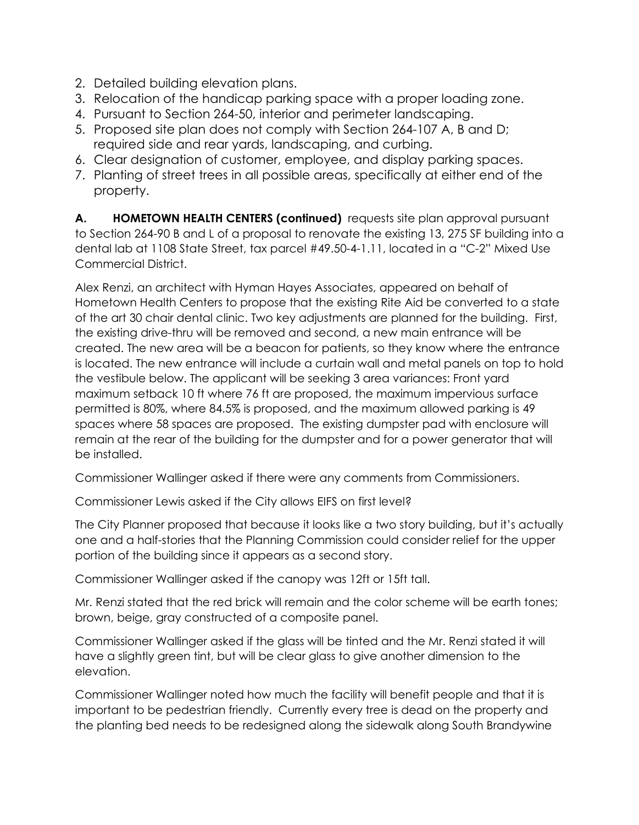- 2. Detailed building elevation plans.
- 3. Relocation of the handicap parking space with a proper loading zone.
- 4. Pursuant to Section 264-50, interior and perimeter landscaping.
- 5. Proposed site plan does not comply with Section 264-107 A, B and D; required side and rear yards, landscaping, and curbing.
- 6. Clear designation of customer, employee, and display parking spaces.
- 7. Planting of street trees in all possible areas, specifically at either end of the property.

**A. HOMETOWN HEALTH CENTERS (continued)** requests site plan approval pursuant to Section 264-90 B and L of a proposal to renovate the existing 13, 275 SF building into a dental lab at 1108 State Street, tax parcel #49.50-4-1.11, located in a "C-2" Mixed Use Commercial District.

Alex Renzi, an architect with Hyman Hayes Associates, appeared on behalf of Hometown Health Centers to propose that the existing Rite Aid be converted to a state of the art 30 chair dental clinic. Two key adjustments are planned for the building. First, the existing drive-thru will be removed and second, a new main entrance will be created. The new area will be a beacon for patients, so they know where the entrance is located. The new entrance will include a curtain wall and metal panels on top to hold the vestibule below. The applicant will be seeking 3 area variances: Front yard maximum setback 10 ft where 76 ft are proposed, the maximum impervious surface permitted is 80%, where 84.5% is proposed, and the maximum allowed parking is 49 spaces where 58 spaces are proposed. The existing dumpster pad with enclosure will remain at the rear of the building for the dumpster and for a power generator that will be installed.

Commissioner Wallinger asked if there were any comments from Commissioners.

Commissioner Lewis asked if the City allows EIFS on first level?

The City Planner proposed that because it looks like a two story building, but it's actually one and a half-stories that the Planning Commission could consider relief for the upper portion of the building since it appears as a second story.

Commissioner Wallinger asked if the canopy was 12ft or 15ft tall.

Mr. Renzi stated that the red brick will remain and the color scheme will be earth tones; brown, beige, gray constructed of a composite panel.

Commissioner Wallinger asked if the glass will be tinted and the Mr. Renzi stated it will have a slightly green tint, but will be clear glass to give another dimension to the elevation.

Commissioner Wallinger noted how much the facility will benefit people and that it is important to be pedestrian friendly. Currently every tree is dead on the property and the planting bed needs to be redesigned along the sidewalk along South Brandywine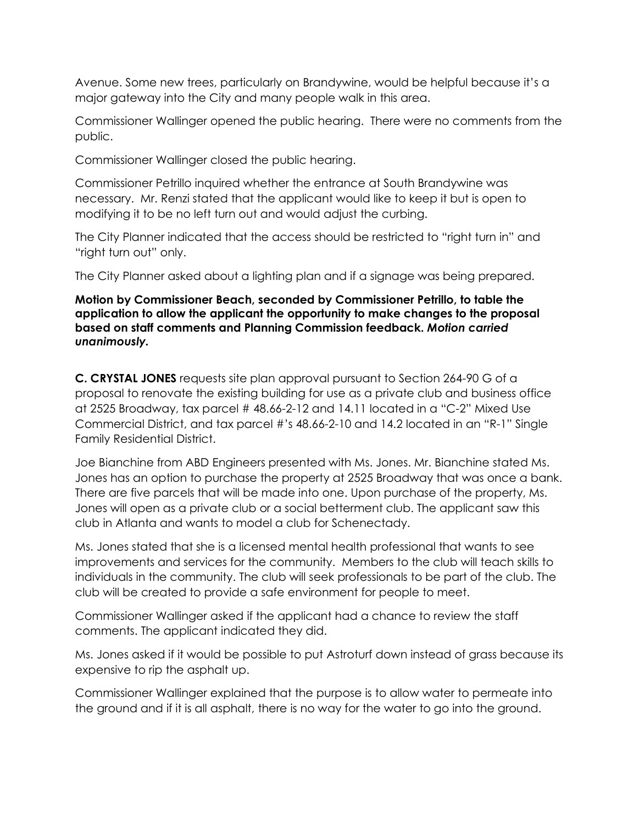Avenue. Some new trees, particularly on Brandywine, would be helpful because it's a major gateway into the City and many people walk in this area.

Commissioner Wallinger opened the public hearing. There were no comments from the public.

Commissioner Wallinger closed the public hearing.

Commissioner Petrillo inquired whether the entrance at South Brandywine was necessary. Mr. Renzi stated that the applicant would like to keep it but is open to modifying it to be no left turn out and would adjust the curbing.

The City Planner indicated that the access should be restricted to "right turn in" and "right turn out" only.

The City Planner asked about a lighting plan and if a signage was being prepared.

#### **Motion by Commissioner Beach, seconded by Commissioner Petrillo, to table the application to allow the applicant the opportunity to make changes to the proposal based on staff comments and Planning Commission feedback.** *Motion carried unanimously.*

**C. CRYSTAL JONES** requests site plan approval pursuant to Section 264-90 G of a proposal to renovate the existing building for use as a private club and business office at 2525 Broadway, tax parcel # 48.66-2-12 and 14.11 located in a "C-2" Mixed Use Commercial District, and tax parcel #'s 48.66-2-10 and 14.2 located in an "R-1" Single Family Residential District.

Joe Bianchine from ABD Engineers presented with Ms. Jones. Mr. Bianchine stated Ms. Jones has an option to purchase the property at 2525 Broadway that was once a bank. There are five parcels that will be made into one. Upon purchase of the property, Ms. Jones will open as a private club or a social betterment club. The applicant saw this club in Atlanta and wants to model a club for Schenectady.

Ms. Jones stated that she is a licensed mental health professional that wants to see improvements and services for the community. Members to the club will teach skills to individuals in the community. The club will seek professionals to be part of the club. The club will be created to provide a safe environment for people to meet.

Commissioner Wallinger asked if the applicant had a chance to review the staff comments. The applicant indicated they did.

Ms. Jones asked if it would be possible to put Astroturf down instead of grass because its expensive to rip the asphalt up.

Commissioner Wallinger explained that the purpose is to allow water to permeate into the ground and if it is all asphalt, there is no way for the water to go into the ground.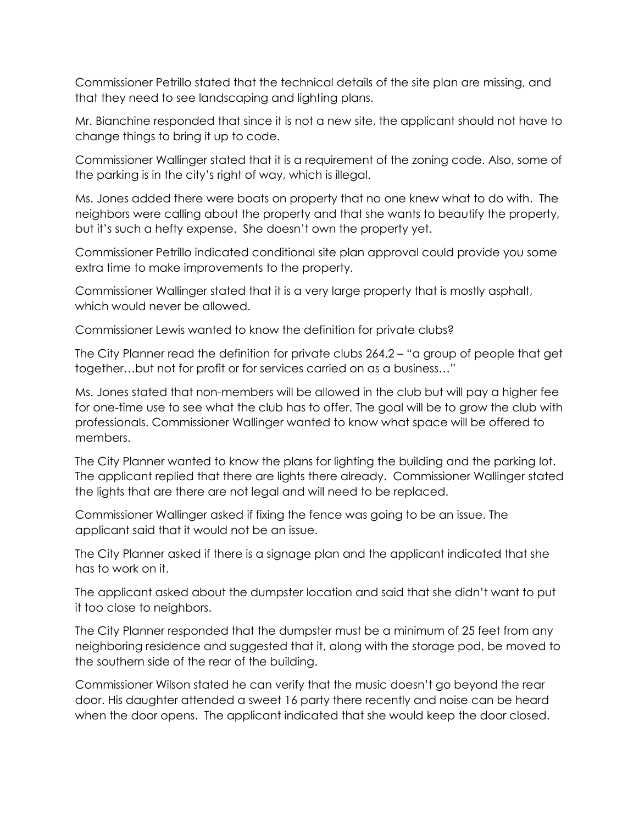Commissioner Petrillo stated that the technical details of the site plan are missing, and that they need to see landscaping and lighting plans.

Mr. Bianchine responded that since it is not a new site, the applicant should not have to change things to bring it up to code.

Commissioner Wallinger stated that it is a requirement of the zoning code. Also, some of the parking is in the city's right of way, which is illegal.

Ms. Jones added there were boats on property that no one knew what to do with. The neighbors were calling about the property and that she wants to beautify the property, but it's such a hefty expense. She doesn't own the property yet.

Commissioner Petrillo indicated conditional site plan approval could provide you some extra time to make improvements to the property.

Commissioner Wallinger stated that it is a very large property that is mostly asphalt, which would never be allowed.

Commissioner Lewis wanted to know the definition for private clubs?

The City Planner read the definition for private clubs 264.2 – "a group of people that get together…but not for profit or for services carried on as a business…"

Ms. Jones stated that non-members will be allowed in the club but will pay a higher fee for one-time use to see what the club has to offer. The goal will be to grow the club with professionals. Commissioner Wallinger wanted to know what space will be offered to members.

The City Planner wanted to know the plans for lighting the building and the parking lot. The applicant replied that there are lights there already. Commissioner Wallinger stated the lights that are there are not legal and will need to be replaced.

Commissioner Wallinger asked if fixing the fence was going to be an issue. The applicant said that it would not be an issue.

The City Planner asked if there is a signage plan and the applicant indicated that she has to work on it.

The applicant asked about the dumpster location and said that she didn't want to put it too close to neighbors.

The City Planner responded that the dumpster must be a minimum of 25 feet from any neighboring residence and suggested that it, along with the storage pod, be moved to the southern side of the rear of the building.

Commissioner Wilson stated he can verify that the music doesn't go beyond the rear door. His daughter attended a sweet 16 party there recently and noise can be heard when the door opens. The applicant indicated that she would keep the door closed.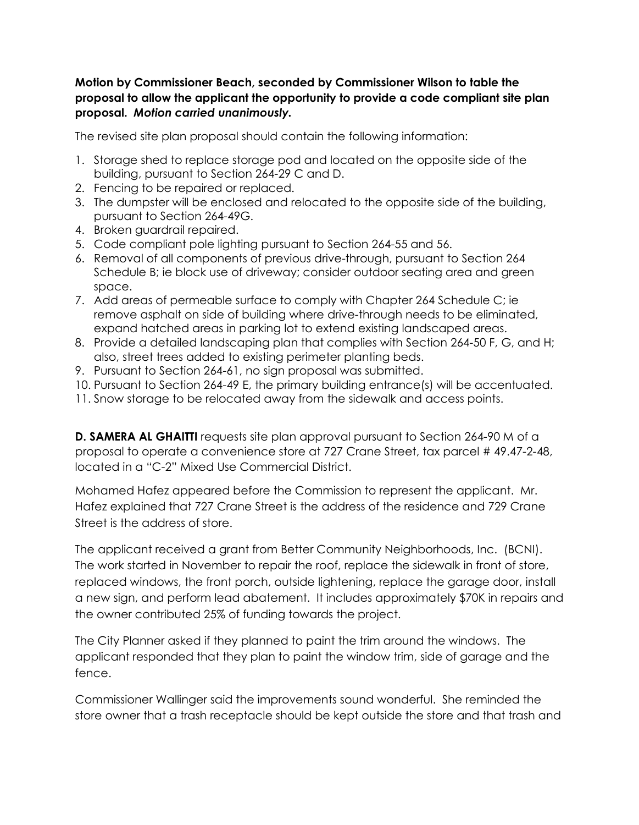## **Motion by Commissioner Beach, seconded by Commissioner Wilson to table the proposal to allow the applicant the opportunity to provide a code compliant site plan proposal.** *Motion carried unanimously.*

The revised site plan proposal should contain the following information:

- 1. Storage shed to replace storage pod and located on the opposite side of the building, pursuant to Section 264-29 C and D.
- 2. Fencing to be repaired or replaced.
- 3. The dumpster will be enclosed and relocated to the opposite side of the building, pursuant to Section 264-49G.
- 4. Broken guardrail repaired.
- 5. Code compliant pole lighting pursuant to Section 264-55 and 56.
- 6. Removal of all components of previous drive-through, pursuant to Section 264 Schedule B; ie block use of driveway; consider outdoor seating area and green space.
- 7. Add areas of permeable surface to comply with Chapter 264 Schedule C; ie remove asphalt on side of building where drive-through needs to be eliminated, expand hatched areas in parking lot to extend existing landscaped areas.
- 8. Provide a detailed landscaping plan that complies with Section 264-50 F, G, and H; also, street trees added to existing perimeter planting beds.
- 9. Pursuant to Section 264-61, no sign proposal was submitted.
- 10. Pursuant to Section 264-49 E, the primary building entrance(s) will be accentuated.
- 11. Snow storage to be relocated away from the sidewalk and access points.

**D. SAMERA AL GHAITTI** requests site plan approval pursuant to Section 264-90 M of a proposal to operate a convenience store at 727 Crane Street, tax parcel # 49.47-2-48, located in a "C-2" Mixed Use Commercial District.

Mohamed Hafez appeared before the Commission to represent the applicant. Mr. Hafez explained that 727 Crane Street is the address of the residence and 729 Crane Street is the address of store.

The applicant received a grant from Better Community Neighborhoods, Inc. (BCNI). The work started in November to repair the roof, replace the sidewalk in front of store, replaced windows, the front porch, outside lightening, replace the garage door, install a new sign, and perform lead abatement. It includes approximately \$70K in repairs and the owner contributed 25% of funding towards the project.

The City Planner asked if they planned to paint the trim around the windows. The applicant responded that they plan to paint the window trim, side of garage and the fence.

Commissioner Wallinger said the improvements sound wonderful. She reminded the store owner that a trash receptacle should be kept outside the store and that trash and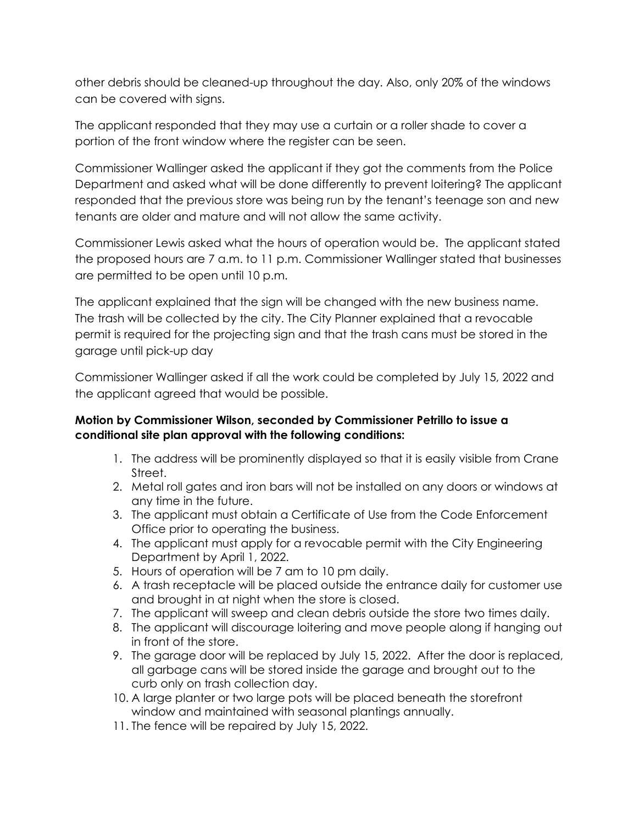other debris should be cleaned-up throughout the day. Also, only 20% of the windows can be covered with signs.

The applicant responded that they may use a curtain or a roller shade to cover a portion of the front window where the register can be seen.

Commissioner Wallinger asked the applicant if they got the comments from the Police Department and asked what will be done differently to prevent loitering? The applicant responded that the previous store was being run by the tenant's teenage son and new tenants are older and mature and will not allow the same activity.

Commissioner Lewis asked what the hours of operation would be. The applicant stated the proposed hours are 7 a.m. to 11 p.m. Commissioner Wallinger stated that businesses are permitted to be open until 10 p.m.

The applicant explained that the sign will be changed with the new business name. The trash will be collected by the city. The City Planner explained that a revocable permit is required for the projecting sign and that the trash cans must be stored in the garage until pick-up day

Commissioner Wallinger asked if all the work could be completed by July 15, 2022 and the applicant agreed that would be possible.

# **Motion by Commissioner Wilson, seconded by Commissioner Petrillo to issue a conditional site plan approval with the following conditions:**

- 1. The address will be prominently displayed so that it is easily visible from Crane Street.
- 2. Metal roll gates and iron bars will not be installed on any doors or windows at any time in the future.
- 3. The applicant must obtain a Certificate of Use from the Code Enforcement Office prior to operating the business.
- 4. The applicant must apply for a revocable permit with the City Engineering Department by April 1, 2022.
- 5. Hours of operation will be 7 am to 10 pm daily.
- 6. A trash receptacle will be placed outside the entrance daily for customer use and brought in at night when the store is closed.
- 7. The applicant will sweep and clean debris outside the store two times daily.
- 8. The applicant will discourage loitering and move people along if hanging out in front of the store.
- 9. The garage door will be replaced by July 15, 2022. After the door is replaced, all garbage cans will be stored inside the garage and brought out to the curb only on trash collection day.
- 10. A large planter or two large pots will be placed beneath the storefront window and maintained with seasonal plantings annually.
- 11. The fence will be repaired by July 15, 2022.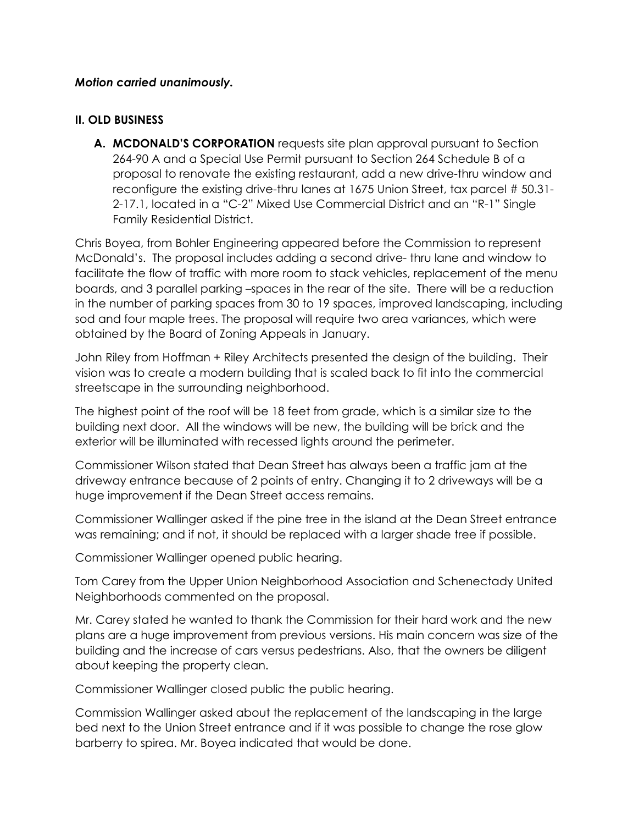#### *Motion carried unanimously.*

#### **II. OLD BUSINESS**

**A. MCDONALD'S CORPORATION** requests site plan approval pursuant to Section 264-90 A and a Special Use Permit pursuant to Section 264 Schedule B of a proposal to renovate the existing restaurant, add a new drive-thru window and reconfigure the existing drive-thru lanes at 1675 Union Street, tax parcel # 50.31- 2-17.1, located in a "C-2" Mixed Use Commercial District and an "R-1" Single Family Residential District.

Chris Boyea, from Bohler Engineering appeared before the Commission to represent McDonald's. The proposal includes adding a second drive- thru lane and window to facilitate the flow of traffic with more room to stack vehicles, replacement of the menu boards, and 3 parallel parking –spaces in the rear of the site. There will be a reduction in the number of parking spaces from 30 to 19 spaces, improved landscaping, including sod and four maple trees. The proposal will require two area variances, which were obtained by the Board of Zoning Appeals in January.

John Riley from Hoffman + Riley Architects presented the design of the building. Their vision was to create a modern building that is scaled back to fit into the commercial streetscape in the surrounding neighborhood.

The highest point of the roof will be 18 feet from grade, which is a similar size to the building next door. All the windows will be new, the building will be brick and the exterior will be illuminated with recessed lights around the perimeter.

Commissioner Wilson stated that Dean Street has always been a traffic jam at the driveway entrance because of 2 points of entry. Changing it to 2 driveways will be a huge improvement if the Dean Street access remains.

Commissioner Wallinger asked if the pine tree in the island at the Dean Street entrance was remaining; and if not, it should be replaced with a larger shade tree if possible.

Commissioner Wallinger opened public hearing.

Tom Carey from the Upper Union Neighborhood Association and Schenectady United Neighborhoods commented on the proposal.

Mr. Carey stated he wanted to thank the Commission for their hard work and the new plans are a huge improvement from previous versions. His main concern was size of the building and the increase of cars versus pedestrians. Also, that the owners be diligent about keeping the property clean.

Commissioner Wallinger closed public the public hearing.

Commission Wallinger asked about the replacement of the landscaping in the large bed next to the Union Street entrance and if it was possible to change the rose glow barberry to spirea. Mr. Boyea indicated that would be done.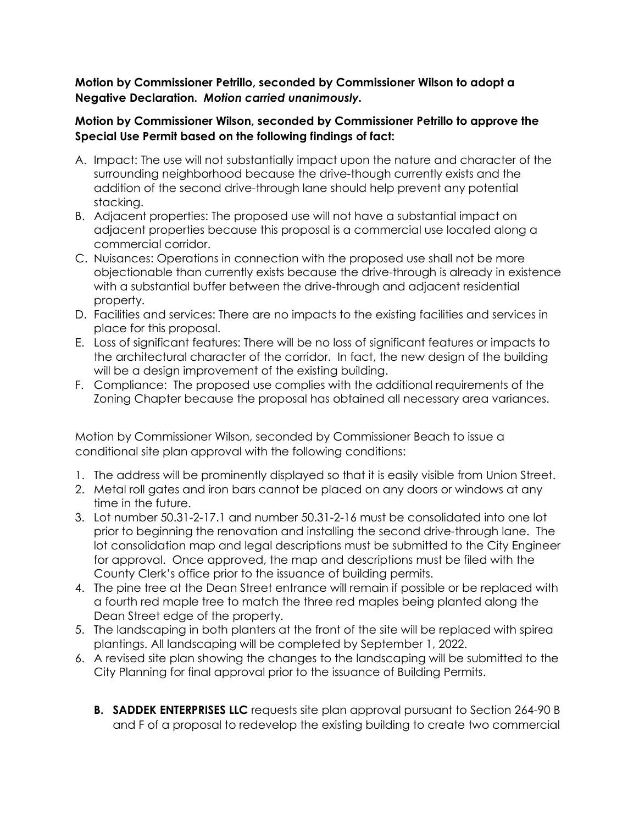#### **Motion by Commissioner Petrillo, seconded by Commissioner Wilson to adopt a Negative Declaration.** *Motion carried unanimously.*

## **Motion by Commissioner Wilson, seconded by Commissioner Petrillo to approve the Special Use Permit based on the following findings of fact:**

- A. Impact: The use will not substantially impact upon the nature and character of the surrounding neighborhood because the drive-though currently exists and the addition of the second drive-through lane should help prevent any potential stacking.
- B. Adjacent properties: The proposed use will not have a substantial impact on adjacent properties because this proposal is a commercial use located along a commercial corridor.
- C. Nuisances: Operations in connection with the proposed use shall not be more objectionable than currently exists because the drive-through is already in existence with a substantial buffer between the drive-through and adjacent residential property.
- D. Facilities and services: There are no impacts to the existing facilities and services in place for this proposal.
- E. Loss of significant features: There will be no loss of significant features or impacts to the architectural character of the corridor. In fact, the new design of the building will be a design improvement of the existing building.
- F. Compliance: The proposed use complies with the additional requirements of the Zoning Chapter because the proposal has obtained all necessary area variances.

Motion by Commissioner Wilson, seconded by Commissioner Beach to issue a conditional site plan approval with the following conditions:

- 1. The address will be prominently displayed so that it is easily visible from Union Street.
- 2. Metal roll gates and iron bars cannot be placed on any doors or windows at any time in the future.
- 3. Lot number 50.31-2-17.1 and number 50.31-2-16 must be consolidated into one lot prior to beginning the renovation and installing the second drive-through lane. The lot consolidation map and legal descriptions must be submitted to the City Engineer for approval. Once approved, the map and descriptions must be filed with the County Clerk's office prior to the issuance of building permits.
- 4. The pine tree at the Dean Street entrance will remain if possible or be replaced with a fourth red maple tree to match the three red maples being planted along the Dean Street edge of the property.
- 5. The landscaping in both planters at the front of the site will be replaced with spirea plantings. All landscaping will be completed by September 1, 2022.
- 6. A revised site plan showing the changes to the landscaping will be submitted to the City Planning for final approval prior to the issuance of Building Permits.
	- **B. SADDEK ENTERPRISES LLC** requests site plan approval pursuant to Section 264-90 B and F of a proposal to redevelop the existing building to create two commercial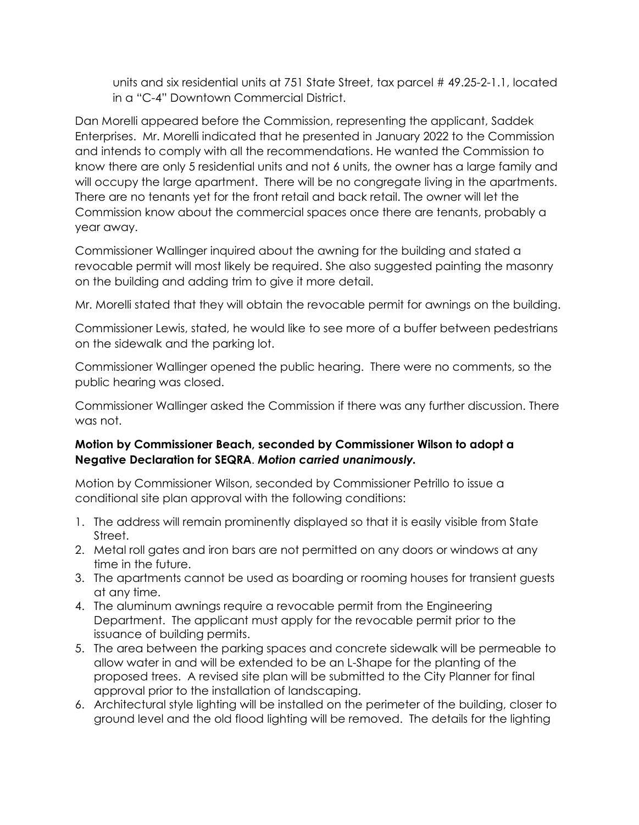units and six residential units at 751 State Street, tax parcel # 49.25-2-1.1, located in a "C-4" Downtown Commercial District.

Dan Morelli appeared before the Commission, representing the applicant, Saddek Enterprises. Mr. Morelli indicated that he presented in January 2022 to the Commission and intends to comply with all the recommendations. He wanted the Commission to know there are only 5 residential units and not 6 units, the owner has a large family and will occupy the large apartment. There will be no congregate living in the apartments. There are no tenants yet for the front retail and back retail. The owner will let the Commission know about the commercial spaces once there are tenants, probably a year away.

Commissioner Wallinger inquired about the awning for the building and stated a revocable permit will most likely be required. She also suggested painting the masonry on the building and adding trim to give it more detail.

Mr. Morelli stated that they will obtain the revocable permit for awnings on the building.

Commissioner Lewis, stated, he would like to see more of a buffer between pedestrians on the sidewalk and the parking lot.

Commissioner Wallinger opened the public hearing. There were no comments, so the public hearing was closed.

Commissioner Wallinger asked the Commission if there was any further discussion. There was not.

# **Motion by Commissioner Beach, seconded by Commissioner Wilson to adopt a Negative Declaration for SEQRA**. *Motion carried unanimously.*

Motion by Commissioner Wilson, seconded by Commissioner Petrillo to issue a conditional site plan approval with the following conditions:

- 1. The address will remain prominently displayed so that it is easily visible from State Street.
- 2. Metal roll gates and iron bars are not permitted on any doors or windows at any time in the future.
- 3. The apartments cannot be used as boarding or rooming houses for transient guests at any time.
- 4. The aluminum awnings require a revocable permit from the Engineering Department. The applicant must apply for the revocable permit prior to the issuance of building permits.
- 5. The area between the parking spaces and concrete sidewalk will be permeable to allow water in and will be extended to be an L-Shape for the planting of the proposed trees. A revised site plan will be submitted to the City Planner for final approval prior to the installation of landscaping.
- 6. Architectural style lighting will be installed on the perimeter of the building, closer to ground level and the old flood lighting will be removed. The details for the lighting